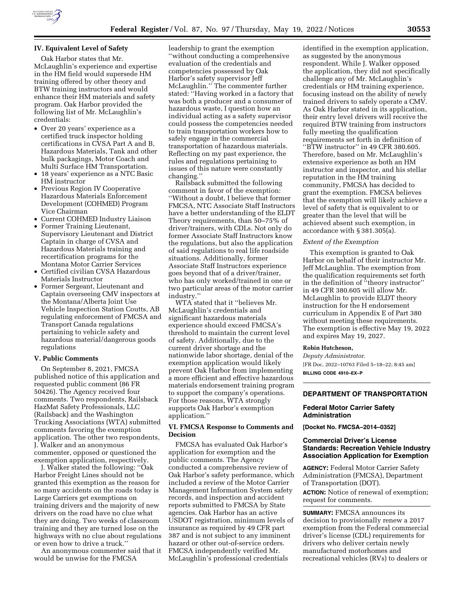

# **IV. Equivalent Level of Safety**

Oak Harbor states that Mr. McLaughlin's experience and expertise in the HM field would supersede HM training offered by other theory and BTW training instructors and would enhance their HM materials and safety program. Oak Harbor provided the following list of Mr. McLaughlin's credentials:

- Over 20 years' experience as a certified truck inspector holding certifications in CVSA Part A and B, Hazardous Materials, Tank and other bulk packagings, Motor Coach and Multi Surface HM Transportation.
- 18 years' experience as a NTC Basic HM instructor
- Previous Region IV Cooperative Hazardous Materials Enforcement Development (COHMED) Program Vice Chairman
- Current COHMED Industry Liaison
- Former Training Lieutenant, Supervisory Lieutenant and District Captain in charge of CVSA and Hazardous Materials training and recertification programs for the Montana Motor Carrier Services
- Certified civilian CVSA Hazardous Materials Instructor
- Former Sergeant, Lieutenant and Captain overseeing CMV inspectors at the Montana/Alberta Joint Use Vehicle Inspection Station Coutts, AB regulating enforcement of FMCSA and Transport Canada regulations pertaining to vehicle safety and hazardous material/dangerous goods regulations

## **V. Public Comments**

On September 8, 2021, FMCSA published notice of this application and requested public comment (86 FR 50426). The Agency received four comments. Two respondents, Railsback HazMat Safety Professionals, LLC (Railsback) and the Washington Trucking Associations (WTA) submitted comments favoring the exemption application. The other two respondents, J. Walker and an anonymous commenter, opposed or questioned the exemption application, respectively.

J. Walker stated the following: ''Oak Harbor Freight Lines should not be granted this exemption as the reason for so many accidents on the roads today is Large Carriers get exemptions on training drivers and the majority of new drivers on the road have no clue what they are doing. Two weeks of classroom training and they are turned lose on the highways with no clue about regulations or even how to drive a truck.''

An anonymous commenter said that it would be unwise for the FMCSA

leadership to grant the exemption ''without conducting a comprehensive evaluation of the credentials and competencies possessed by Oak Harbor's safety supervisor Jeff McLaughlin.'' The commenter further stated: ''Having worked in a factory that was both a producer and a consumer of hazardous waste, I question how an individual acting as a safety supervisor could possess the competencies needed to train transportation workers how to safely engage in the commercial transportation of hazardous materials. Reflecting on my past experience, the rules and regulations pertaining to issues of this nature were constantly changing.''

Railsback submitted the following comment in favor of the exemption: ''Without a doubt, I believe that former FMCSA, NTC Associate Staff Instructors have a better understanding of the ELDT Theory requirements, than 50–75% of driver/trainers, with CDLs. Not only do former Associate Staff Instructors know the regulations, but also the application of said regulations to real life roadside situations. Additionally, former Associate Staff Instructors experience goes beyond that of a driver/trainer, who has only worked/trained in one or two particular areas of the motor carrier industry.''

WTA stated that it ''believes Mr. McLaughlin's credentials and significant hazardous materials experience should exceed FMCSA's threshold to maintain the current level of safety. Additionally, due to the current driver shortage and the nationwide labor shortage, denial of the exemption application would likely prevent Oak Harbor from implementing a more efficient and effective hazardous materials endorsement training program to support the company's operations. For those reasons, WTA strongly supports Oak Harbor's exemption application.''

# **VI. FMCSA Response to Comments and Decision**

FMCSA has evaluated Oak Harbor's application for exemption and the public comments. The Agency conducted a comprehensive review of Oak Harbor's safety performance, which included a review of the Motor Carrier Management Information System safety records, and inspection and accident reports submitted to FMCSA by State agencies. Oak Harbor has an active USDOT registration, minimum levels of insurance as required by 49 CFR part 387 and is not subject to any imminent hazard or other out-of-service orders. FMCSA independently verified Mr. McLaughlin's professional credentials

identified in the exemption application, as suggested by the anonymous respondent. While J. Walker opposed the application, they did not specifically challenge any of Mr. McLaughlin's credentials or HM training experience, focusing instead on the ability of newly trained drivers to safely operate a CMV. As Oak Harbor stated in its application, their entry level drivers will receive the required BTW training from instructors fully meeting the qualification requirements set forth in definition of ''BTW instructor'' in 49 CFR 380.605. Therefore, based on Mr. McLaughlin's extensive experience as both an HM instructor and inspector, and his stellar reputation in the HM training community, FMCSA has decided to grant the exemption. FMCSA believes that the exemption will likely achieve a level of safety that is equivalent to or greater than the level that will be achieved absent such exemption, in accordance with § 381.305(a).

#### *Extent of the Exemption*

This exemption is granted to Oak Harbor on behalf of their instructor Mr. Jeff McLaughlin. The exemption from the qualification requirements set forth in the definition of "theory instructor"  $\,$ in 49 CFR 380.605 will allow Mr. McLaughlin to provide ELDT theory instruction for the H endorsement curriculum in Appendix E of Part 380 without meeting these requirements. The exemption is effective May 19, 2022 and expires May 19, 2027.

## **Robin Hutcheson,**

*Deputy Administrator.*  [FR Doc. 2022–10763 Filed 5–18–22; 8:45 am] **BILLING CODE 4910–EX–P** 

# **DEPARTMENT OF TRANSPORTATION**

# **Federal Motor Carrier Safety Administration**

**[Docket No. FMCSA–2014–0352]** 

# **Commercial Driver's License Standards: Recreation Vehicle Industry Association Application for Exemption**

**AGENCY:** Federal Motor Carrier Safety Administration (FMCSA), Department of Transportation (DOT).

**ACTION:** Notice of renewal of exemption; request for comments.

**SUMMARY:** FMCSA announces its decision to provisionally renew a 2017 exemption from the Federal commercial driver's license (CDL) requirements for drivers who deliver certain newly manufactured motorhomes and recreational vehicles (RVs) to dealers or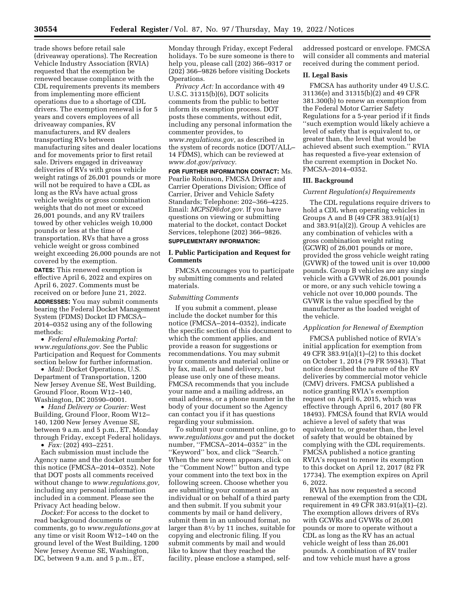trade shows before retail sale (driveaway operations). The Recreation Vehicle Industry Association (RVIA) requested that the exemption be renewed because compliance with the CDL requirements prevents its members from implementing more efficient operations due to a shortage of CDL drivers. The exemption renewal is for 5 years and covers employees of all driveaway companies, RV manufacturers, and RV dealers transporting RVs between manufacturing sites and dealer locations and for movements prior to first retail sale. Drivers engaged in driveaway deliveries of RVs with gross vehicle weight ratings of 26,001 pounds or more will not be required to have a CDL as long as the RVs have actual gross vehicle weights or gross combination weights that do not meet or exceed 26,001 pounds, and any RV trailers towed by other vehicles weigh 10,000 pounds or less at the time of transportation. RVs that have a gross vehicle weight or gross combined weight exceeding 26,000 pounds are not covered by the exemption.

**DATES:** This renewed exemption is effective April 6, 2022 and expires on April 6, 2027. Comments must be received on or before June 21, 2022.

**ADDRESSES:** You may submit comments bearing the Federal Docket Management System (FDMS) Docket ID FMCSA– 2014–0352 using any of the following methods:

• *Federal eRulemaking Portal: [www.regulations.gov.](http://www.regulations.gov)* See the Public Participation and Request for Comments section below for further information.

• *Mail:* Docket Operations, U.S. Department of Transportation, 1200 New Jersey Avenue SE, West Building, Ground Floor, Room W12–140, Washington, DC 20590–0001.

• *Hand Delivery or Courier:* West Building, Ground Floor, Room W12– 140, 1200 New Jersey Avenue SE, between 9 a.m. and 5 p.m., ET, Monday through Friday, except Federal holidays.

• *Fax:* (202) 493–2251.

Each submission must include the Agency name and the docket number for this notice (FMCSA–2014–0352). Note that DOT posts all comments received without change to *[www.regulations.gov,](http://www.regulations.gov)*  including any personal information included in a comment. Please see the Privacy Act heading below.

*Docket:* For access to the docket to read background documents or comments, go to *[www.regulations.gov](http://www.regulations.gov)* at any time or visit Room W12–140 on the ground level of the West Building, 1200 New Jersey Avenue SE, Washington, DC, between 9 a.m. and 5 p.m., ET,

Monday through Friday, except Federal holidays. To be sure someone is there to help you, please call (202) 366–9317 or (202) 366–9826 before visiting Dockets Operations.

*Privacy Act:* In accordance with 49 U.S.C. 31315(b)(6), DOT solicits comments from the public to better inform its exemption process. DOT posts these comments, without edit, including any personal information the commenter provides, to *[www.regulations.gov,](http://www.regulations.gov)* as described in the system of records notice (DOT/ALL– 14 FDMS), which can be reviewed at *[www.dot.gov/privacy.](http://www.dot.gov/privacy)* 

**FOR FURTHER INFORMATION CONTACT:** Ms. Pearlie Robinson, FMCSA Driver and Carrier Operations Division; Office of Carrier, Driver and Vehicle Safety Standards; Telephone: 202–366–4225. Email: *[MCPSD@dot.gov.](mailto:MCPSD@dot.gov)* If you have questions on viewing or submitting material to the docket, contact Docket Services, telephone (202) 366–9826.

# **SUPPLEMENTARY INFORMATION:**

# **I. Public Participation and Request for Comments**

FMCSA encourages you to participate by submitting comments and related materials.

#### *Submitting Comments*

If you submit a comment, please include the docket number for this notice (FMCSA–2014–0352), indicate the specific section of this document to which the comment applies, and provide a reason for suggestions or recommendations. You may submit your comments and material online or by fax, mail, or hand delivery, but please use only one of these means. FMCSA recommends that you include your name and a mailing address, an email address, or a phone number in the body of your document so the Agency can contact you if it has questions regarding your submission.

To submit your comment online, go to *[www.regulations.gov](http://www.regulations.gov)* and put the docket number, ''FMCSA–2014–0352'' in the ''Keyword'' box, and click ''Search.'' When the new screen appears, click on the ''Comment Now!'' button and type your comment into the text box in the following screen. Choose whether you are submitting your comment as an individual or on behalf of a third party and then submit. If you submit your comments by mail or hand delivery, submit them in an unbound format, no larger than 81⁄2 by 11 inches, suitable for copying and electronic filing. If you submit comments by mail and would like to know that they reached the facility, please enclose a stamped, selfaddressed postcard or envelope. FMCSA will consider all comments and material received during the comment period.

# **II. Legal Basis**

FMCSA has authority under 49 U.S.C. 31136(e) and 31315(b)(2) and 49 CFR 381.300(b) to renew an exemption from the Federal Motor Carrier Safety Regulations for a 5-year period if it finds ''such exemption would likely achieve a level of safety that is equivalent to, or greater than, the level that would be achieved absent such exemption.'' RVIA has requested a five-year extension of the current exemption in Docket No. FMCSA–2014–0352.

#### **III. Background**

#### *Current Regulation(s) Requirements*

The CDL regulations require drivers to hold a CDL when operating vehicles in Groups A and B (49 CFR 383.91(a)(1) and 383.91(a)(2)). Group A vehicles are any combination of vehicles with a gross combination weight rating (GCWR) of 26,001 pounds or more, provided the gross vehicle weight rating (GVWR) of the towed unit is over 10,000 pounds. Group B vehicles are any single vehicle with a GVWR of 26,001 pounds or more, or any such vehicle towing a vehicle not over 10,000 pounds. The GVWR is the value specified by the manufacturer as the loaded weight of the vehicle.

## *Application for Renewal of Exemption*

FMCSA published notice of RVIA's initial application for exemption from 49 CFR 383.91(a)(1)–(2) to this docket on October 1, 2014 (79 FR 59343). That notice described the nature of the RV deliveries by commercial motor vehicle (CMV) drivers. FMCSA published a notice granting RVIA's exemption request on April 6, 2015, which was effective through April 6, 2017 (80 FR 18493). FMCSA found that RVIA would achieve a level of safety that was equivalent to, or greater than, the level of safety that would be obtained by complying with the CDL requirements. FMCSA published a notice granting RVIA's request to renew its exemption to this docket on April 12, 2017 (82 FR 17734). The exemption expires on April 6, 2022.

RVIA has now requested a second renewal of the exemption from the CDL requirement in 49 CFR 383.91(a)(1)–(2). The exemption allows drivers of RVs with GCWRs and GVWRs of 26,001 pounds or more to operate without a CDL as long as the RV has an actual vehicle weight of less than 26,001 pounds. A combination of RV trailer and tow vehicle must have a gross